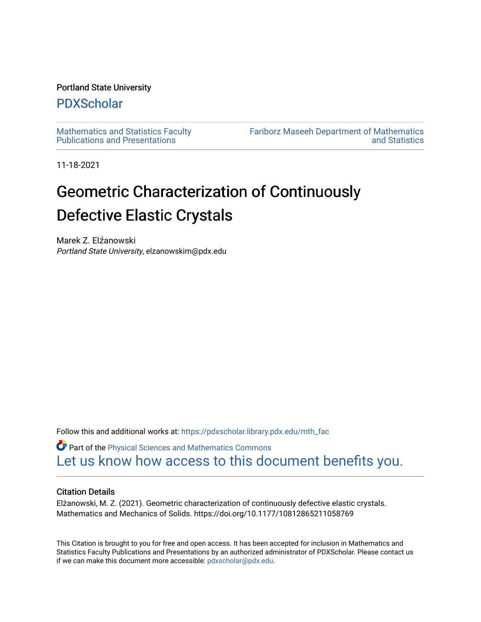# Portland State University

# [PDXScholar](https://pdxscholar.library.pdx.edu/)

[Mathematics and Statistics Faculty](https://pdxscholar.library.pdx.edu/mth_fac)  [Publications and Presentations](https://pdxscholar.library.pdx.edu/mth_fac) 

[Fariborz Maseeh Department of Mathematics](https://pdxscholar.library.pdx.edu/mth)  [and Statistics](https://pdxscholar.library.pdx.edu/mth) 

11-18-2021

# Geometric Characterization of Continuously Defective Elastic Crystals

Marek Z. Elźanowski Portland State University, elzanowskim@pdx.edu

Follow this and additional works at: [https://pdxscholar.library.pdx.edu/mth\\_fac](https://pdxscholar.library.pdx.edu/mth_fac?utm_source=pdxscholar.library.pdx.edu%2Fmth_fac%2F336&utm_medium=PDF&utm_campaign=PDFCoverPages)

**P** Part of the Physical Sciences and Mathematics Commons [Let us know how access to this document benefits you.](http://library.pdx.edu/services/pdxscholar-services/pdxscholar-feedback/?ref=https://pdxscholar.library.pdx.edu/mth_fac/336) 

# Citation Details

Elżanowski, M. Z. (2021). Geometric characterization of continuously defective elastic crystals. Mathematics and Mechanics of Solids. https://doi.org/10.1177/10812865211058769

This Citation is brought to you for free and open access. It has been accepted for inclusion in Mathematics and Statistics Faculty Publications and Presentations by an authorized administrator of PDXScholar. Please contact us if we can make this document more accessible: [pdxscholar@pdx.edu.](mailto:pdxscholar@pdx.edu)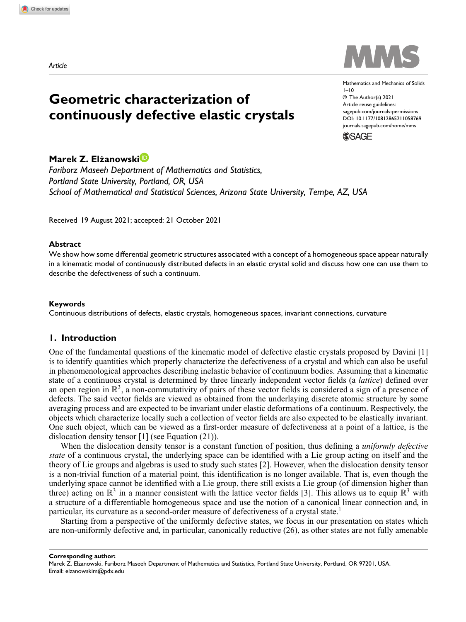



Mathematics and Mechanics of Solids  $1 - 10$ © The Author(s) 2021 Article reuse guidelines: sagepub.com/journals-permissions DOI: 10.1177/10812865211058769 journals.sagepub.com/home/mms

**SSAGE** 

# **Marek Z. Elzanowski ˙**

*Fariborz Maseeh Department of Mathematics and Statistics, Portland State University, Portland, OR, USA School of Mathematical and Statistical Sciences, Arizona State University, Tempe, AZ, USA*

Received 19 August 2021; accepted: 21 October 2021

#### **Abstract**

We show how some differential geometric structures associated with a concept of a homogeneous space appear naturally in a kinematic model of continuously distributed defects in an elastic crystal solid and discuss how one can use them to describe the defectiveness of such a continuum.

#### **Keywords**

Continuous distributions of defects, elastic crystals, homogeneous spaces, invariant connections, curvature

# **1. Introduction**

One of the fundamental questions of the kinematic model of defective elastic crystals proposed by Davini [1] is to identify quantities which properly characterize the defectiveness of a crystal and which can also be useful in phenomenological approaches describing inelastic behavior of continuum bodies. Assuming that a kinematic state of a continuous crystal is determined by three linearly independent vector fields (a *lattice*) defined over an open region in  $\mathbb{R}^3$ , a non-commutativity of pairs of these vector fields is considered a sign of a presence of defects. The said vector fields are viewed as obtained from the underlaying discrete atomic structure by some averaging process and are expected to be invariant under elastic deformations of a continuum. Respectively, the objects which characterize locally such a collection of vector fields are also expected to be elastically invariant. One such object, which can be viewed as a first-order measure of defectiveness at a point of a lattice, is the dislocation density tensor [1] (see Equation (21)).

When the dislocation density tensor is a constant function of position, thus defining a *uniformly defective state* of a continuous crystal, the underlying space can be identified with a Lie group acting on itself and the theory of Lie groups and algebras is used to study such states [2]. However, when the dislocation density tensor is a non-trivial function of a material point, this identification is no longer available. That is, even though the underlying space cannot be identified with a Lie group, there still exists a Lie group (of dimension higher than three) acting on  $\mathbb{R}^3$  in a manner consistent with the lattice vector fields [3]. This allows us to equip  $\mathbb{R}^3$  with a structure of a differentiable homogeneous space and use the notion of a canonical linear connection and, in particular, its curvature as a second-order measure of defectiveness of a crystal state.<sup>1</sup>

Starting from a perspective of the uniformly defective states, we focus in our presentation on states which are non-uniformly defective and, in particular, canonically reductive (26), as other states are not fully amenable

**Corresponding author:**

Marek Z. Elżanowski, Fariborz Maseeh Department of Mathematics and Statistics, Portland State University, Portland, OR 97201, USA. Email: elzanowskim@pdx.edu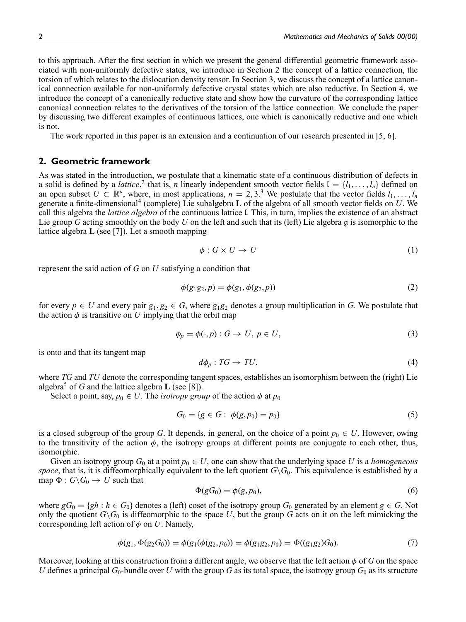to this approach. After the first section in which we present the general differential geometric framework associated with non-uniformly defective states, we introduce in Section 2 the concept of a lattice connection, the torsion of which relates to the dislocation density tensor. In Section 3, we discuss the concept of a lattice canonical connection available for non-uniformly defective crystal states which are also reductive. In Section 4, we introduce the concept of a canonically reductive state and show how the curvature of the corresponding lattice canonical connection relates to the derivatives of the torsion of the lattice connection. We conclude the paper by discussing two different examples of continuous lattices, one which is canonically reductive and one which is not.

The work reported in this paper is an extension and a continuation of our research presented in [5, 6].

### **2. Geometric framework**

As was stated in the introduction, we postulate that a kinematic state of a continuous distribution of defects in a solid is defined by a *lattice*,<sup>2</sup> that is, *n* linearly independent smooth vector fields  $I = \{l_1, \ldots, l_n\}$  defined on an open subset  $U \subset \mathbb{R}^n$ , where, in most applications,  $n = 2, 3$ .<sup>3</sup> We postulate that the vector fields  $l_1, \ldots, l_n$ generate a finite-dimensional<sup>4</sup> (complete) Lie subalgebra **L** of the algebra of all smooth vector fields on *U*. We call this algebra the *lattice algebra* of the continuous lattice l. This, in turn, implies the existence of an abstract Lie group *G* acting smoothly on the body *U* on the left and such that its (left) Lie algebra g is isomorphic to the lattice algebra **L** (see [7]). Let a smooth mapping

$$
\phi: G \times U \to U \tag{1}
$$

represent the said action of *G* on *U* satisfying a condition that

$$
\phi(g_1g_2, p) = \phi(g_1, \phi(g_2, p))
$$
\n(2)

for every  $p \in U$  and every pair  $g_1, g_2 \in G$ , where  $g_1g_2$  denotes a group multiplication in *G*. We postulate that the action  $\phi$  is transitive on *U* implying that the orbit map

$$
\phi_p = \phi(\cdot, p) : G \to U, \ p \in U,\tag{3}
$$

is onto and that its tangent map

$$
d\phi_p: TG \to TU,\tag{4}
$$

where *TG* and *TU* denote the corresponding tangent spaces, establishes an isomorphism between the (right) Lie algebra<sup>5</sup> of *G* and the lattice algebra **L** (see [8]).

Select a point, say,  $p_0 \in U$ . The *isotropy group* of the action  $\phi$  at  $p_0$ 

$$
G_0 = \{ g \in G : \phi(g, p_0) = p_0 \}
$$
\n<sup>(5)</sup>

is a closed subgroup of the group *G*. It depends, in general, on the choice of a point  $p_0 \in U$ . However, owing to the transitivity of the action  $\phi$ , the isotropy groups at different points are conjugate to each other, thus, isomorphic.

Given an isotropy group  $G_0$  at a point  $p_0 \in U$ , one can show that the underlying space U is a *homogeneous space*, that is, it is diffeomorphically equivalent to the left quotient  $G\backslash G_0$ . This equivalence is established by a map  $\Phi: G \backslash G_0 \to U$  such that

$$
\Phi(gG_0) = \phi(g, p_0),\tag{6}
$$

where  $gG_0 = \{gh : h \in G_0\}$  denotes a (left) coset of the isotropy group  $G_0$  generated by an element  $g \in G$ . Not only the quotient  $G\backslash G_0$  is diffeomorphic to the space U, but the group G acts on it on the left mimicking the corresponding left action of  $\phi$  on *U*. Namely,

$$
\phi(g_1, \Phi(g_2 G_0)) = \phi(g_1(\phi(g_2, p_0)) = \phi(g_1 g_2, p_0) = \Phi((g_1 g_2) G_0).
$$
\n(7)

Moreover, looking at this construction from a different angle, we observe that the left action  $\phi$  of *G* on the space *U* defines a principal  $G_0$ -bundle over *U* with the group *G* as its total space, the isotropy group  $G_0$  as its structure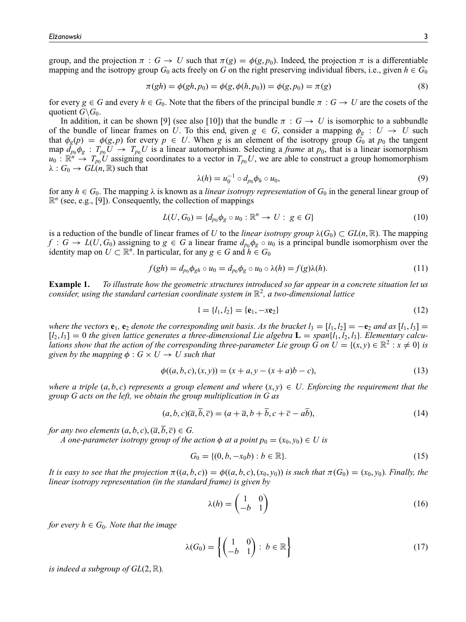group, and the projection  $\pi : G \to U$  such that  $\pi(g) = \phi(g, p_0)$ . Indeed, the projection  $\pi$  is a differentiable mapping and the isotropy group  $G_0$  acts freely on  $G$  on the right preserving individual fibers, i.e., given  $h \in G_0$ 

$$
\pi(gh) = \phi(gh, p_0) = \phi(g, \phi(h, p_0)) = \phi(g, p_0) = \pi(g)
$$
\n(8)

for every  $g \in G$  and every  $h \in G_0$ . Note that the fibers of the principal bundle  $\pi : G \to U$  are the cosets of the quotient  $G \backslash G_0$ .

In addition, it can be shown [9] (see also [10]) that the bundle  $\pi : G \to U$  is isomorphic to a subbundle of the bundle of linear frames on *U*. To this end, given  $g \in G$ , consider a mapping  $\phi_g : U \to U$  such that  $\phi_g(p) = \phi(g, p)$  for every  $p \in U$ . When *g* is an element of the isotropy group  $G_0$  at  $p_0$  the tangent map  $d_{p_0}\phi_g$ :  $T_{p_0}U \to T_{p_0}U$  is a linear automorphism. Selecting a *frame* at  $p_0$ , that is a linear isomorphism  $u_0$ :  $\mathbb{R}^n \to T_{p_0} U$  assigning coordinates to a vector in  $T_{p_0} U$ , we are able to construct a group homomorphism  $\lambda: G_0 \to GL(n, \mathbb{R})$  such that

$$
\lambda(h) = u_0^{-1} \circ d_{p_0} \phi_h \circ u_0,\tag{9}
$$

for any  $h \in G_0$ . The mapping  $\lambda$  is known as a *linear isotropy representation* of  $G_0$  in the general linear group of  $\mathbb{R}^n$  (see, e.g., [9]). Consequently, the collection of mappings

$$
L(U, G_0) = \{d_{p_0}\phi_g \circ u_0 : \mathbb{R}^n \to U : g \in G\}
$$
\n
$$
(10)
$$

is a reduction of the bundle of linear frames of *U* to the *linear isotropy group*  $\lambda(G_0) \subset GL(n, \mathbb{R})$ . The mapping  $f: G \to L(U, G_0)$  assigning to  $g \in G$  a linear frame  $d_{p_0} \phi_g \circ u_0$  is a principal bundle isomorphism over the identity map on  $U \subset \mathbb{R}^n$ . In particular, for any  $g \in G$  and  $h \in G_0$ 

$$
f(gh) = d_{p_0} \phi_{gh} \circ u_0 = d_{p_0} \phi_g \circ u_0 \circ \lambda(h) = f(g)\lambda(h). \tag{11}
$$

**Example 1.** *To illustrate how the geometric structures introduced so far appear in a concrete situation let us consider, using the standard cartesian coordinate system in* R 2 *, a two-dimensional lattice*

$$
I = \{l_1, l_2\} = \{e_1, -xe_2\} \tag{12}
$$

*where the vectors*  $\mathbf{e}_1$ ,  $\mathbf{e}_2$  *denote the corresponding unit basis. As the bracket*  $l_3 = [l_1, l_2] = -\mathbf{e}_2$  *and as*  $[l_1, l_3] =$  $[I_2, I_3] = 0$  the given lattice generates a three-dimensional Lie algebra  $\mathbf{L} = span\{l_1, l_2, l_3\}$ . Elementary calcu*lations show that the action of the corresponding three-parameter Lie group G on*  $U = \{(x, y) \in \mathbb{R}^2 : x \neq 0\}$  *is given by the mapping*  $\phi$  :  $G \times U \rightarrow U$  *such that* 

$$
\phi((a, b, c), (x, y)) = (x + a, y - (x + a)b - c),
$$
\n(13)

*where a triple*  $(a, b, c)$  *represents a group element and where*  $(x, y) \in U$ . *Enforcing the requirement that the group G acts on the left, we obtain the group multiplication in G as*

$$
(a, b, c)(\overline{a}, b, \overline{c}) = (a + \overline{a}, b + b, c + \overline{c} - ab),
$$
\n(14)

*for any two elements*  $(a, b, c), (\overline{a}, \overline{b}, \overline{c}) \in G$ .

*A* one-parameter isotropy group of the action  $\phi$  at a point  $p_0 = (x_0, y_0) \in U$  is

$$
G_0 = \{ (0, b, -x_0 b) : b \in \mathbb{R} \}. \tag{15}
$$

*It is easy to see that the projection*  $\pi((a, b, c)) = \phi((a, b, c), (x_0, y_0))$  *is such that*  $\pi(G_0) = (x_0, y_0)$ *. Finally, the linear isotropy representation (in the standard frame) is given by*

$$
\lambda(h) = \begin{pmatrix} 1 & 0 \\ -b & 1 \end{pmatrix} \tag{16}
$$

*for every*  $h \in G_0$ *. Note that the image* 

$$
\lambda(G_0) = \left\{ \begin{pmatrix} 1 & 0 \\ -b & 1 \end{pmatrix} : b \in \mathbb{R} \right\}
$$
 (17)

*is indeed a subgroup of GL*(2, R)*.*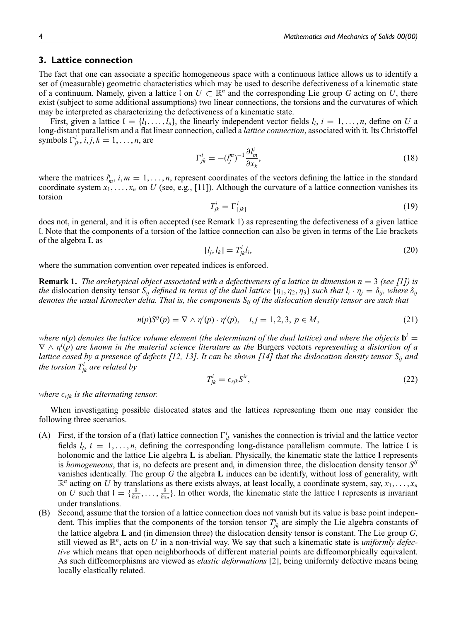# **3. Lattice connection**

The fact that one can associate a specific homogeneous space with a continuous lattice allows us to identify a set of (measurable) geometric characteristics which may be used to describe defectiveness of a kinematic state of a continuum. Namely, given a lattice  $\mathfrak{l}$  on  $U \subset \mathbb{R}^n$  and the corresponding Lie group G acting on U, there exist (subject to some additional assumptions) two linear connections, the torsions and the curvatures of which may be interpreted as characterizing the defectiveness of a kinematic state.

First, given a lattice  $I = \{l_1, \ldots, l_n\}$ , the linearly independent vector fields  $l_i, i = 1, \ldots, n$ , define on *U* a long-distant parallelism and a flat linear connection, called a *lattice connection*, associated with it. Its Christoffel symbols  $\Gamma^i_{jk}$ ,  $i, j, k = 1, \ldots, n$ , are

$$
\Gamma_{jk}^{i} = -\left(l_j^{m}\right)^{-1} \frac{\partial l_m^i}{\partial x_k},\tag{18}
$$

where the matrices  $l_m^i$ ,  $i, m = 1, \ldots, n$ , represent coordinates of the vectors defining the lattice in the standard coordinate system  $x_1, \ldots, x_n$  on U (see, e.g., [11]). Although the curvature of a lattice connection vanishes its torsion

$$
T_{jk}^i = \Gamma_{[jk]}^i \tag{19}
$$

does not, in general, and it is often accepted (see Remark 1) as representing the defectiveness of a given lattice l. Note that the components of a torsion of the lattice connection can also be given in terms of the Lie brackets of the algebra **L** as

$$
[l_j, l_k] = T^i_{jk} l_i,\tag{20}
$$

where the summation convention over repeated indices is enforced.

**Remark 1.** *The archetypical object associated with a defectiveness of a lattice in dimension n* = 3 *(see [1]) is the* dislocation density tensor  $S_{ij}$  *defined in terms of the dual lattice*  $\{\eta_1, \eta_2, \eta_3\}$  *such that*  $l_i \cdot \eta_j = \delta_{ij}$ *, where*  $\delta_{ij}$ *denotes the usual Kronecker delta. That is, the components Sij of the dislocation density tensor are such that*

$$
n(p)S^{ij}(p) = \nabla \wedge \eta^{i}(p) \cdot \eta^{j}(p), \quad i, j = 1, 2, 3, \ p \in M,
$$
\n(21)

*where n*(*p*) *denotes the lattice volume element (the determinant of the dual lattice) and where the objects*  $\mathbf{b}^i$  =  $\nabla \wedge \eta^{i}(p)$  are known in the material science literature as the Burgers vectors *representing a distortion of a lattice cased by a presence of defects [12, 13]. It can be shown [14] that the dislocation density tensor Sij and the torsion T<sup>i</sup> jk are related by*

$$
T_{jk}^{i} = \epsilon_{rjk} S^{ir}, \tag{22}
$$

*where*  $\epsilon_{\text{rik}}$  *is the alternating tensor.* 

When investigating possible dislocated states and the lattices representing them one may consider the following three scenarios.

- (A) First, if the torsion of a (flat) lattice connection  $\Gamma^i_{jk}$  vanishes the connection is trivial and the lattice vector fields  $l_i$ ,  $i = 1, \ldots, n$ , defining the corresponding long-distance parallelism commute. The lattice l is holonomic and the lattice Lie algebra **L** is abelian. Physically, the kinematic state the lattice **l** represents is *homogeneous*, that is, no defects are present and, in dimension three, the dislocation density tensor *S ij* vanishes identically. The group *G* the algebra **L** induces can be identify, without loss of generality, with  $\mathbb{R}^n$  acting on *U* by translations as there exists always, at least locally, a coordinate system, say,  $x_1, \ldots, x_n$ on *U* such that  $I = \{\frac{\partial}{\partial x_1}, \dots, \frac{\partial}{\partial x_n}\}$  $\frac{\partial}{\partial x_n}$ . In other words, the kinematic state the lattice l represents is invariant under translations.
- (B) Second, assume that the torsion of a lattice connection does not vanish but its value is base point independent. This implies that the components of the torsion tensor  $T_{jk}^i$  are simply the Lie algebra constants of the lattice algebra **L** and (in dimension three) the dislocation density tensor is constant. The Lie group *G*, still viewed as R *n* , acts on *U* in a non-trivial way. We say that such a kinematic state is *uniformly defective* which means that open neighborhoods of different material points are diffeomorphically equivalent. As such diffeomorphisms are viewed as *elastic deformations* [2], being uniformly defective means being locally elastically related.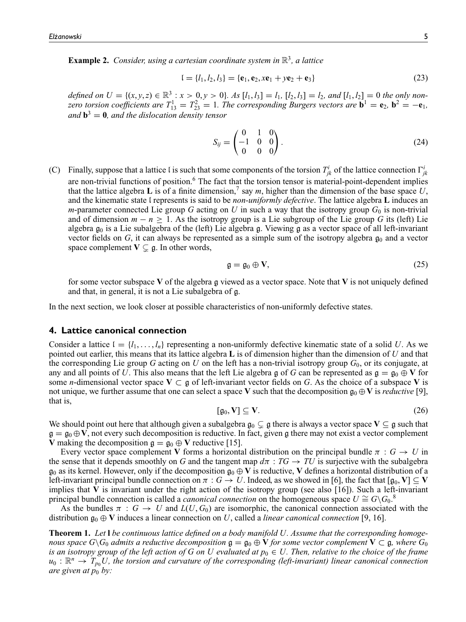**Example 2.** *Consider, using a cartesian coordinate system in* R 3 *, a lattice*

$$
I = \{l_1, l_2, l_3\} = \{e_1, e_2, xe_1 + ye_2 + e_3\}
$$
\n(23)

defined on  $U = \{(x, y, z) \in \mathbb{R}^3 : x > 0, y > 0\}$ . As  $[l_1, l_3] = l_1$ ,  $[l_2, l_3] = l_2$ , and  $[l_1, l_2] = 0$  the only non*zero torsion coefficients are*  $T_{13}^1 = T_{23}^2 = 1$ *. The corresponding Burgers vectors are*  $\mathbf{b}^1 = \mathbf{e}_2$ ,  $\mathbf{b}^2 = -\mathbf{e}_1$ *, and* **b** <sup>3</sup> = **0***, and the dislocation density tensor*

$$
S_{ij} = \begin{pmatrix} 0 & 1 & 0 \\ -1 & 0 & 0 \\ 0 & 0 & 0 \end{pmatrix}.
$$
 (24)

(C) Finally, suppose that a lattice l is such that some components of the torsion  $T_{jk}^i$  of the lattice connection  $\Gamma_{jk}^i$ are non-trivial functions of position.<sup>6</sup> The fact that the torsion tensor is material-point-dependent implies that the lattice algebra **L** is of a finite dimension,<sup>7</sup> say *m*, higher than the dimension of the base space  $U$ , and the kinematic state l represents is said to be *non-uniformly defective*. The lattice algebra **L** induces an *m*-parameter connected Lie group *G* acting on *U* in such a way that the isotropy group  $G_0$  is non-trivial and of dimension  $m - n \geq 1$ . As the isotropy group is a Lie subgroup of the Lie group *G* its (left) Lie algebra  $g_0$  is a Lie subalgebra of the (left) Lie algebra g. Viewing g as a vector space of all left-invariant vector fields on  $G$ , it can always be represented as a simple sum of the isotropy algebra  $g_0$  and a vector space complement  $V \subsetneq g$ . In other words,

$$
\mathfrak{g} = \mathfrak{g}_0 \oplus \mathbf{V},\tag{25}
$$

for some vector subspace **V** of the algebra g viewed as a vector space. Note that **V** is not uniquely defined and that, in general, it is not a Lie subalgebra of g.

In the next section, we look closer at possible characteristics of non-uniformly defective states.

#### **4. Lattice canonical connection**

Consider a lattice  $I = \{l_1, \ldots, l_n\}$  representing a non-uniformly defective kinematic state of a solid *U*. As we pointed out earlier, this means that its lattice algebra **L** is of dimension higher than the dimension of *U* and that the corresponding Lie group *G* acting on *U* on the left has a non-trivial isotropy group  $G_0$ , or its conjugate, at any and all points of *U*. This also means that the left Lie algebra g of *G* can be represented as  $g = g_0 \oplus V$  for some *n*-dimensional vector space  $V \subset g$  of left-invariant vector fields on *G*. As the choice of a subspace V is not unique, we further assume that one can select a space **V** such that the decomposition  $\mathfrak{g}_0 \oplus \mathbf{V}$  is *reductive* [9], that is,

$$
[\mathfrak{g}_0, V] \subseteq V. \tag{26}
$$

We should point out here that although given a subalgebra  $\mathfrak{g}_0 \subset \mathfrak{g}$  there is always a vector space  $V \subseteq \mathfrak{g}$  such that  $\mathfrak{g} = \mathfrak{g}_0 \oplus \mathbf{V}$ , not every such decomposition is reductive. In fact, given g there may not exist a vector complement **V** making the decomposition  $\mathfrak{g} = \mathfrak{g}_0 \oplus \mathbf{V}$  reductive [15].

Every vector space complement **V** forms a horizontal distribution on the principal bundle  $\pi$ :  $G \rightarrow U$  in the sense that it depends smoothly on *G* and the tangent map  $d\pi$  :  $TG \rightarrow TU$  is surjective with the subalgebra  $\mathfrak{g}_0$  as its kernel. However, only if the decomposition  $\mathfrak{g}_0 \oplus \mathbf{V}$  is reductive, **V** defines a horizontal distribution of a left-invariant principal bundle connection on  $\pi$  :  $G \to U$ . Indeed, as we showed in [6], the fact that  $[g_0, V] \subseteq V$ implies that  $V$  is invariant under the right action of the isotropy group (see also  $[16]$ ). Such a left-invariant principal bundle connection is called a *canonical connection* on the homogeneous space  $U \cong G\backslash G_0$ .<sup>8</sup>

As the bundles  $\pi : G \to U$  and  $L(U, G_0)$  are isomorphic, the canonical connection associated with the distribution  $\mathfrak{g}_0 \oplus \mathbf{V}$  induces a linear connection on *U*, called a *linear canonical connection* [9, 16].

**Theorem 1.** *Let* **l** *be continuous lattice defined on a body manifold U. Assume that the corresponding homogenous space*  $G\backslash G_0$  *admits a reductive decomposition*  $\mathfrak{g} = \mathfrak{g}_0 \oplus \mathbf{V}$  *for some vector complement*  $\mathbf{V} \subset \mathfrak{g}$ *, where*  $G_0$ *is an isotropy group of the left action of G on U evaluated at*  $p_0 \in U$ *. Then, relative to the choice of the frame*  $u_0: \mathbb{R}^n \to T_{p_0}U$ , the torsion and curvature of the corresponding (left-invariant) linear canonical connection *are given at*  $p_0$  *by:*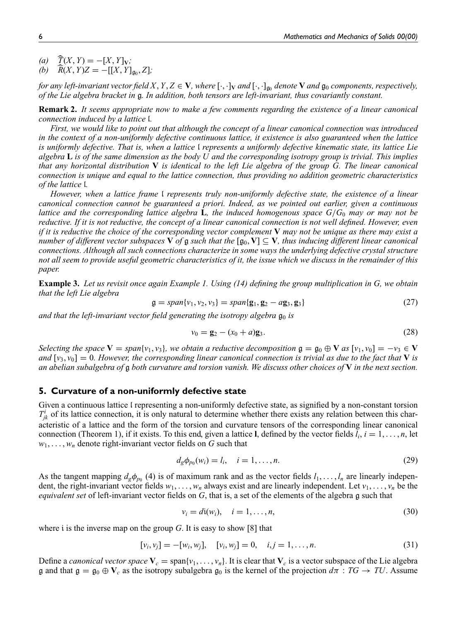$f(x, Y) = -[X, Y]_V;$ 

(b) 
$$
\hat{R}(X, Y)Z = -[[X, Y]_{\mathfrak{g}_0}, Z];
$$

*for any left-invariant vector field X, Y, Z*  $\in$  **V***, where*  $[\cdot,\cdot]_V$  *and*  $[\cdot,\cdot]_{\mathfrak{g}_0}$  *denote* **V** *and*  $\mathfrak{g}_0$  *components, respectively, of the Lie algebra bracket in* g*. In addition, both tensors are left-invariant, thus covariantly constant.*

**Remark 2.** *It seems appropriate now to make a few comments regarding the existence of a linear canonical connection induced by a lattice* l*.*

*First, we would like to point out that although the concept of a linear canonical connection was introduced in the context of a non-uniformly defective continuous lattice, it existence is also guaranteed when the lattice is uniformly defective. That is, when a lattice* l *represents a uniformly defective kinematic state, its lattice Lie algebra* **L** *is of the same dimension as the body U and the corresponding isotropy group is trivial. This implies that any horizontal distribution* **V** *is identical to the left Lie algebra of the group G. The linear canonical connection is unique and equal to the lattice connection, thus providing no addition geometric characteristics of the lattice* l*.*

*However, when a lattice frame* l *represents truly non-uniformly defective state, the existence of a linear canonical connection cannot be guaranteed a priori. Indeed, as we pointed out earlier, given a continuous lattice and the corresponding lattice algebra* **L***, the induced homogenous space G*/*G*<sup>0</sup> *may or may not be reductive. If it is not reductive, the concept of a linear canonical connection is not well defined. However, even if it is reductive the choice of the corresponding vector complement* **V** *may not be unique as there may exist a number of different vector subspaces* **V** *of*  $\mathfrak{g}$  *such that the*  $[\mathfrak{g}_0, V] \subseteq V$ *, thus inducing different linear canonical connections. Although all such connections characterize in some ways the underlying defective crystal structure not all seem to provide useful geometric characteristics of it, the issue which we discuss in the remainder of this paper.*

**Example 3.** *Let us revisit once again Example 1. Using (14) defining the group multiplication in G, we obtain that the left Lie algebra*

$$
\mathfrak{g} = span\{v_1, v_2, v_3\} = span\{\mathbf{g}_1, \mathbf{g}_2 - a\mathbf{g}_3, \mathbf{g}_3\} \tag{27}
$$

and that the left-invariant vector field generating the isotropy algebra  $\mathfrak{g}_0$  is

$$
v_0 = \mathbf{g}_2 - (x_0 + a)\mathbf{g}_3. \tag{28}
$$

*Selecting the space*  $V = span\{v_1, v_3\}$ *, we obtain a reductive decomposition*  $g = g_0 \oplus V$  *as*  $[v_1, v_0] = -v_3 \in V$ *and*  $[v_3, v_0] = 0$ *. However, the corresponding linear canonical connection is trivial as due to the fact that* **V** *is an abelian subalgebra of* g *both curvature and torsion vanish. We discuss other choices of* **V** *in the next section.*

#### **5. Curvature of a non-uniformly defective state**

Given a continuous lattice l representing a non-uniformly defective state, as signified by a non-constant torsion  $T_{jk}^i$  of its lattice connection, it is only natural to determine whether there exists any relation between this characteristic of a lattice and the form of the torsion and curvature tensors of the corresponding linear canonical connection (Theorem 1), if it exists. To this end, given a lattice **l**, defined by the vector fields  $l_i$ ,  $i = 1, ..., n$ , let  $w_1, \ldots, w_n$  denote right-invariant vector fields on *G* such that

$$
d_g \phi_{p_0}(w_i) = l_i, \quad i = 1, \dots, n. \tag{29}
$$

As the tangent mapping  $d_g\phi_{p_0}$  (4) is of maximum rank and as the vector fields  $l_1, \ldots, l_n$  are linearly independent, the right-invariant vector fields  $w_1, \ldots, w_n$  always exist and are linearly independent. Let  $v_1, \ldots, v_n$  be the *equivalent set* of left-invariant vector fields on *G*, that is, a set of the elements of the algebra g such that

$$
v_i = d\mathfrak{i}(w_i), \quad i = 1, \dots, n,
$$
\n<sup>(30)</sup>

where i is the inverse map on the group *G*. It is easy to show [8] that

$$
[v_i, v_j] = -[w_i, w_j], \quad [v_i, w_j] = 0, \quad i, j = 1, \dots, n. \tag{31}
$$

Define a *canonical vector space*  $V_c = \text{span}\{v_1, \ldots, v_n\}$ . It is clear that  $V_c$  is a vector subspace of the Lie algebra g and that  $g = g_0 \oplus V_c$  as the isotropy subalgebra  $g_0$  is the kernel of the projection  $d\pi : TG \to TU$ . Assume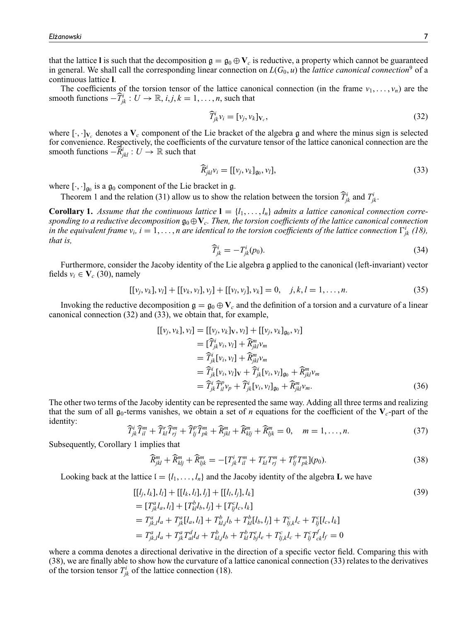that the lattice **l** is such that the decomposition  $g = g_0 \oplus V_c$  is reductive, a property which cannot be guaranteed in general. We shall call the corresponding linear connection on  $L(G_0, u)$  the *lattice canonical connection*<sup>9</sup> of a continuous lattice **l**.

The coefficients of the torsion tensor of the lattice canonical connection (in the frame  $v_1, \ldots, v_n$ ) are the smooth functions  $-\widehat{T}_{jk}^i : U \to \mathbb{R}, i, j, k = 1, ..., n$ , such that

$$
\widehat{T}_{jk}^{i}v_{i} = [v_{j}, v_{k}]_{V_{c}},\tag{32}
$$

where  $[\cdot,\cdot]_{V_c}$  denotes a  $V_c$  component of the Lie bracket of the algebra g and where the minus sign is selected for convenience. Respectively, the coefficients of the curvature tensor of the lattice canonical connection are the smooth functions  $-\widehat{R}^i_{jkl} : U \to \mathbb{R}$  such that

$$
\widehat{R}^i_{jkl}v_i = [[v_j, v_k]_{\mathfrak{g}_0}, v_l],\tag{33}
$$

where  $[\cdot, \cdot]_{\mathfrak{g}_0}$  is a  $\mathfrak{g}_0$  component of the Lie bracket in  $\mathfrak{g}$ .

Theorem 1 and the relation (31) allow us to show the relation between the torsion  $\widehat{T}_{jk}^i$  and  $T_{jk}^i$ .

**Corollary 1.** Assume that the continuous lattice  $\mathbf{l} = \{l_1, \ldots, l_n\}$  admits a lattice canonical connection corre*sponding to a reductive decomposition*  $\mathfrak{g}_0 \oplus \mathbf{V}_c$ *. Then, the torsion coefficients of the lattice canonical connection in the equivalent frame*  $v_i$ *,*  $i = 1, \ldots, n$  *are identical to the torsion coefficients of the lattice connection*  $\Gamma^i_{jk}$  (18), *that is,*

$$
\widehat{T}_{jk}^i = -T_{jk}^i(p_0). \tag{34}
$$

Furthermore, consider the Jacoby identity of the Lie algebra g applied to the canonical (left-invariant) vector fields  $v_i \in V_c$  (30), namely

$$
[[v_j, v_k], v_l] + [[v_k, v_l], v_j] + [[v_l, v_j], v_k] = 0, \quad j, k, l = 1, ..., n.
$$
\n(35)

Invoking the reductive decomposition  $g = g_0 \oplus V_c$  and the definition of a torsion and a curvature of a linear canonical connection (32) and (33), we obtain that, for example,

$$
[[v_j, v_k], v_l] = [[v_j, v_k]_V, v_l] + [[v_j, v_k]_{g_0}, v_l]
$$
  
\n
$$
= [\widehat{T}_{jk}^i v_i, v_l] + \widehat{R}_{jkl}^m v_m
$$
  
\n
$$
= \widehat{T}_{jk}^i [v_i, v_l] + \widehat{R}_{jkl}^m v_m
$$
  
\n
$$
= \widehat{T}_{jk}^i [v_i, v_l]_V + \widehat{T}_{jk}^i [v_i, v_l]_{g_0} + \widehat{R}_{jkl}^m v_m
$$
  
\n
$$
= \widehat{T}_{jk}^i \widehat{T}_{il}^p v_p + \widehat{T}_{jk}^i [v_i, v_l]_{g_0} + \widehat{R}_{jkl}^m v_m.
$$
\n(36)

The other two terms of the Jacoby identity can be represented the same way. Adding all three terms and realizing that the sum of all  $g_0$ -terms vanishes, we obtain a set of *n* equations for the coefficient of the  $V_c$ -part of the identity:

$$
\widehat{T}_{jk}^i \widehat{T}_{il}^m + \widehat{T}_{kl}^r \widehat{T}_{rj}^m + \widehat{T}_{lj}^p \widehat{T}_{pk}^m + \widehat{R}_{jkl}^m + \widehat{R}_{klj}^m + \widehat{R}_{ljk}^m = 0, \quad m = 1, \dots, n.
$$
\n(37)

Subsequently, Corollary 1 implies that

$$
\widehat{R}_{jkl}^m + \widehat{R}_{klj}^m + \widehat{R}_{ljk}^m = -[T_{jk}^i T_{il}^m + T_{kl}^r T_{rj}^m + T_{lj}^p T_{pk}^m](p_0).
$$
\n(38)

Looking back at the lattice  $I = \{l_1, \ldots, l_n\}$  and the Jacoby identity of the algebra **L** we have

$$
[[l_j, l_k], l_l] + [[l_k, l_l], l_j] + [[l_l, l_j], l_k]
$$
\n
$$
= [T_{jk}^a l_a, l_l] + [T_{kl}^b l_b, l_j] + [T_{lj}^c l_c, l_k]
$$
\n
$$
= T_{jk,l}^a l_a + T_{jk}^a [l_a, l_l] + T_{kl}^b l_b + T_{kl}^b [l_b, l_j] + T_{lj,k}^c l_c + T_{lj}^c [l_c, l_k]
$$
\n
$$
= T_{jk,l}^a l_a + T_{jk}^a T_{al}^d l_d + T_{kl,j}^b l_b + T_{kl}^b T_{lj}^e l_e + T_{lj,k}^c l_c + T_{lj}^c T_{ck}^f l_f = 0
$$
\n(39)

where a comma denotes a directional derivative in the direction of a specific vector field. Comparing this with (38), we are finally able to show how the curvature of a lattice canonical connection (33) relates to the derivatives of the torsion tensor  $T_{jk}^i$  of the lattice connection (18).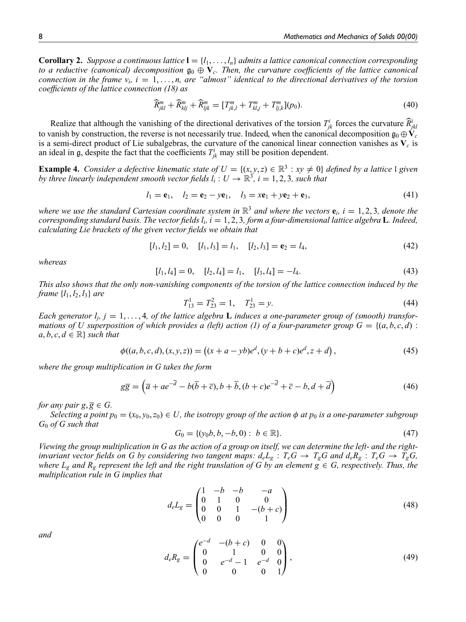**Corollary 2.** *Suppose a continuous lattice*  $\mathbf{l} = \{l_1, \ldots, l_n\}$  *admits a lattice canonical connection corresponding to a reductive (canonical) decomposition*  $\mathfrak{g}_0 \oplus \mathbf{V}_c$ *. Then, the curvature coefficients of the lattice canonical connection in the frame*  $v_i$ *, i* = 1,...,*n, are "almost" identical to the directional derivatives of the torsion coefficients of the lattice connection (18) as*

$$
\widehat{R}_{jkl}^m + \widehat{R}_{klj}^m + \widehat{R}_{ljk}^m = [T_{jk,l}^m + T_{kl,j}^m + T_{lj,k}^m](p_0).
$$
\n(40)

Realize that although the vanishing of the directional derivatives of the torsion  $T_{jk}^i$  forces the curvature  $\widehat{R}^i_{jkl}$ to vanish by construction, the reverse is not necessarily true. Indeed, when the canonical decomposition  $g_0 \oplus V_c$ is a semi-direct product of Lie subalgebras, the curvature of the canonical linear connection vanishes as  $V_c$  is an ideal in  $\mathfrak{g}$ , despite the fact that the coefficients  $T^i_{jk}$  may still be position dependent.

**Example 4.** *Consider a defective kinematic state of*  $U = \{(x, y, z) \in \mathbb{R}^3 : xy \neq 0\}$  *defined by a lattice* I given *by three linearly independent smooth vector fields*  $l_i: U \to \mathbb{R}^3$ ,  $i = 1, 2, 3$ , such that

$$
l_1 = e_1, \quad l_2 = e_2 - ye_1, \quad l_3 = xe_1 + ye_2 + e_3,
$$
 (41)

where we use the standard Cartesian coordinate system in  $\mathbb{R}^3$  and where the vectors  $e_i$ ,  $i = 1, 2, 3$ , denote the *corresponding standard basis. The vector fields l<sup>i</sup> , i* = 1, 2, 3*, form a four-dimensional lattice algebra* **L***. Indeed, calculating Lie brackets of the given vector fields we obtain that*

$$
[l_1, l_2] = 0, \quad [l_1, l_3] = l_1, \quad [l_2, l_3] = \mathbf{e}_2 = l_4,\tag{42}
$$

*whereas*

$$
[l_1, l_4] = 0, \quad [l_2, l_4] = l_1, \quad [l_3, l_4] = -l_4. \tag{43}
$$

*This also shows that the only non-vanishing components of the torsion of the lattice connection induced by the frame*  $\{l_1, l_2, l_3\}$  *are* 

$$
T_{13}^1 = T_{23}^2 = 1, \quad T_{23}^1 = y. \tag{44}
$$

*Each generator*  $l_j$ ,  $j = 1, \ldots, 4$ , *of the lattice algebra* **L** *induces a one-parameter group of (smooth) transformations of U superposition of which provides a (left) action (1) of a four-parameter group*  $G = \{(a, b, c, d) :$  $a, b, c, d \in \mathbb{R}$  *such that* 

$$
\phi((a, b, c, d), (x, y, z)) = ((x + a - yb)e^d, (y + b + c)e^d, z + d),
$$
\n(45)

*where the group multiplication in G takes the form*

$$
g\overline{g} = (\overline{a} + ae^{-\overline{d}} - b(\overline{b} + \overline{c}), b + \overline{b}, (b + c)e^{-\overline{d}} + \overline{c} - b, d + \overline{d})
$$
(46)

*for any pair*  $g, \overline{g} \in G$ .

*Selecting a point*  $p_0 = (x_0, y_0, z_0) \in U$ , the isotropy group of the action  $\phi$  at  $p_0$  is a one-parameter subgroup *G*<sup>0</sup> *of G such that*

$$
G_0 = \{ (y_0b, b, -b, 0) : b \in \mathbb{R} \}.
$$
\n(47)

*Viewing the group multiplication in G as the action of a group on itself, we can determine the left- and the right*invariant vector fields on G by considering two tangent maps:  $d_eL_g$ :  $T_eG \to T_gG$  and  $d_eR_g$ :  $T_eG \to T_gG$ , *where*  $L_g$  *and*  $R_g$  *represent the left and the right translation of G by an element*  $g \in G$ *, respectively. Thus, the multiplication rule in G implies that*

$$
d_e L_g = \begin{pmatrix} 1 & -b & -b & -a \\ 0 & 1 & 0 & 0 \\ 0 & 0 & 1 & -(b+c) \\ 0 & 0 & 0 & 1 \end{pmatrix}
$$
 (48)

*and*

$$
d_e R_g = \begin{pmatrix} e^{-d} & -(b+c) & 0 & 0 \\ 0 & 1 & 0 & 0 \\ 0 & e^{-d} - 1 & e^{-d} & 0 \\ 0 & 0 & 0 & 1 \end{pmatrix},
$$
(49)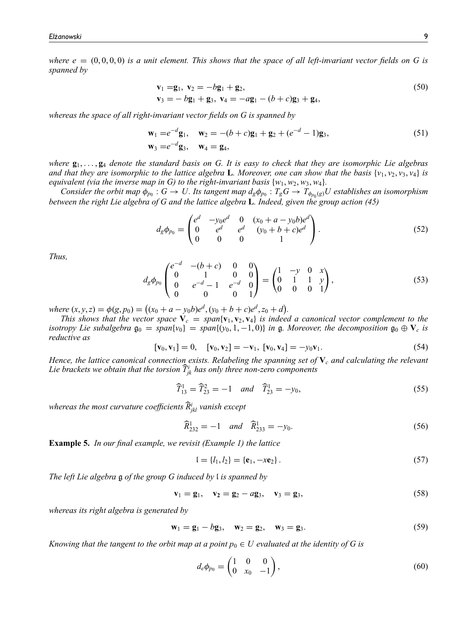*where e*  $= (0, 0, 0, 0)$  *is a unit element. This shows that the space of all left-invariant vector fields on G is spanned by*

$$
\mathbf{v}_1 = \mathbf{g}_1, \ \mathbf{v}_2 = -b\mathbf{g}_1 + \mathbf{g}_2, \n\mathbf{v}_3 = -b\mathbf{g}_1 + \mathbf{g}_3, \ \mathbf{v}_4 = -a\mathbf{g}_1 - (b+c)\mathbf{g}_3 + \mathbf{g}_4,
$$
\n(50)

*whereas the space of all right-invariant vector fields on G is spanned by*

$$
\mathbf{w}_1 = e^{-d}\mathbf{g}_1, \quad \mathbf{w}_2 = -(b+c)\mathbf{g}_1 + \mathbf{g}_2 + (e^{-d}-1)\mathbf{g}_3, \n\mathbf{w}_3 = e^{-d}\mathbf{g}_3, \quad \mathbf{w}_4 = \mathbf{g}_4,
$$
\n(51)

*where* **g**1, . . . , **g**<sup>4</sup> *denote the standard basis on G. It is easy to check that they are isomorphic Lie algebras and that they are isomorphic to the lattice algebra L. Moreover, one can show that the basis*  $\{v_1, v_2, v_3, v_4\}$  *is equivalent (via the inverse map in G) to the right-invariant basis*  $\{w_1, w_2, w_3, w_4\}$ .

*Consider the orbit map*  $\phi_{p_0}: G \to U$ . Its tangent map  $d_g \phi_{p_0}: T_gG \to T_{\phi_{p_0}(g)}U$  establishes an isomorphism *between the right Lie algebra of G and the lattice algebra* **L***. Indeed, given the group action (45)*

$$
d_g \phi_{p_0} = \begin{pmatrix} e^d & -y_0 e^d & 0 & (x_0 + a - y_0 b)e^d \\ 0 & e^d & e^d & (y_0 + b + c)e^d \\ 0 & 0 & 0 & 1 \end{pmatrix}.
$$
 (52)

*Thus,*

$$
d_g \phi_{p_0} \begin{pmatrix} e^{-d} & -(b+c) & 0 & 0 \ 0 & 1 & 0 & 0 \ 0 & e^{-d}-1 & e^{-d} & 0 \ 0 & 0 & 1 \end{pmatrix} = \begin{pmatrix} 1 & -y & 0 & x \ 0 & 1 & 1 & y \ 0 & 0 & 0 & 1 \end{pmatrix}, \tag{53}
$$

*where*  $(x, y, z) = \phi(g, p_0) = ((x_0 + a - y_0b)e^d, (y_0 + b + c)e^d, z_0 + d).$ 

*This shows that the vector space*  $\dot{\mathbf{V}}_c = span{\mathbf{v}_1, \mathbf{v}_2, \mathbf{v}_4}$  *is indeed a canonical vector complement to the isotropy Lie subalgebra*  $\mathfrak{g}_0 = span\{v_0\} = span\{(v_0, 1, -1, 0)\}$  *in*  $\mathfrak{g}$ *. Moreover, the decomposition*  $\mathfrak{g}_0 \oplus \mathbf{V}_c$  *is reductive as*

$$
[\mathbf{v}_0, \mathbf{v}_1] = 0, \quad [\mathbf{v}_0, \mathbf{v}_2] = -\mathbf{v}_1, \quad [\mathbf{v}_0, \mathbf{v}_4] = -y_0 \mathbf{v}_1. \tag{54}
$$

*Hence, the lattice canonical connection exists. Relabeling the spanning set of* **V***<sup>c</sup> and calculating the relevant* Lie brackets we obtain that the torsion  $\widehat{T}_{jk}^i$  has only three non-zero components

$$
\widehat{T}_{13}^1 = \widehat{T}_{23}^2 = -1 \quad \text{and} \quad \widehat{T}_{23}^1 = -y_0,\tag{55}
$$

whereas the most curvature coefficients  $\widehat{R}_{jkl}^i$  vanish except

$$
\widehat{R}_{232}^1 = -1 \quad \text{and} \quad \widehat{R}_{233}^1 = -y_0. \tag{56}
$$

**Example 5.** *In our final example, we revisit (Example 1) the lattice*

$$
I = \{l_1, l_2\} = \{e_1, -xe_2\}.
$$
\n(57)

*The left Lie algebra* g *of the group G induced by* l *is spanned by*

$$
\mathbf{v}_1 = \mathbf{g}_1, \quad \mathbf{v}_2 = \mathbf{g}_2 - a\mathbf{g}_3, \quad \mathbf{v}_3 = \mathbf{g}_3,\tag{58}
$$

*whereas its right algebra is generated by*

$$
\mathbf{w}_1 = \mathbf{g}_1 - b\mathbf{g}_3, \quad \mathbf{w}_2 = \mathbf{g}_2, \quad \mathbf{w}_3 = \mathbf{g}_3. \tag{59}
$$

*Knowing that the tangent to the orbit map at a point*  $p_0 \in U$  *evaluated at the identity of G is* 

$$
d_e \phi_{p_0} = \begin{pmatrix} 1 & 0 & 0 \\ 0 & x_0 & -1 \end{pmatrix},\tag{60}
$$